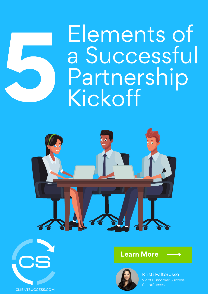

### Elements of a Successful **Partnership** Kickoff





#### Learn More



Kristi Faltorusso VP of Customer Success **ClientSuccess**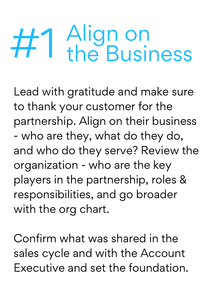## Align on #1 the Business

Lead with gratitude and make sure to thank your customer for the partnership. Align on their business - who are they, what do they do, and who do they serve? Review the organization - who are the key players in the partnership, roles & responsibilities, and go broader with the org chart.

Confirm what was shared in the sales cycle and with the Account Executive and set the foundation.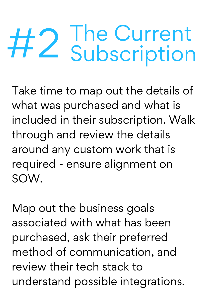## The Current<br>Subscription

Take time to map out the details of what was purchased and what is included in their subscription. Walk through and review the details around any custom work that is required - ensure alignment on SOW.

Map out the business goals associated with what has been purchased, ask their preferred method of communication, and review their tech stack to understand possible integrations.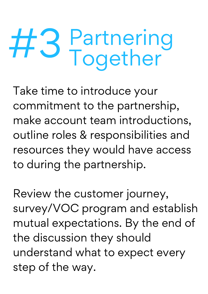# Partnering #3 Together

Take time to introduce your commitment to the partnership, make account team introductions, outline roles & responsibilities and resources they would have access to during the partnership.

Review the customer journey, survey/VOC program and establish mutual expectations. By the end of the discussion they should understand what to expect every step of the way.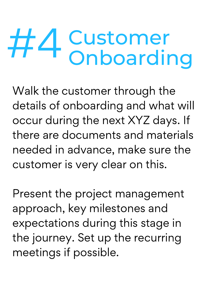## #4 Customer<br>
Onboarding

Walk the customer through the details of onboarding and what will occur during the next XYZ days. If there are documents and materials needed in advance, make sure the customer is very clear on this.

Present the project management approach, key milestones and expectations during this stage in the journey. Set up the recurring meetings if possible.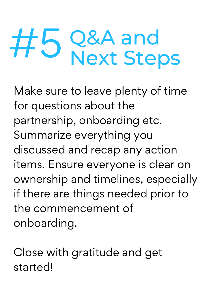## Q&A and #5 Next Steps

Make sure to leave plenty of time for questions about the partnership, onboarding etc. Summarize everything you discussed and recap any action items. Ensure everyone is clear on ownership and timelines, especially if there are things needed prior to the commencement of onboarding.

Close with gratitude and get started!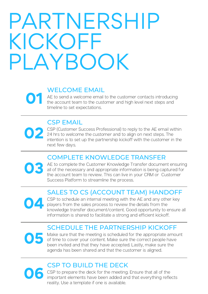### PARTNERSHIP KICKOFF PLAYBOOK

#### WELCOME EMAIL

 $\overline{\textbf{O}}$  1  $_{\text{the}}^{\text{AE}}$ AE to send a welcome email to the customer contacts introducing the account team to the customer and high level next steps and timeline to set expectations.

#### CSP EMAIL

04

02 <sup>CSP</sup> CSP (Customer Success Professional) to reply to the AE email within 24 hrs to welcome the customer and to align on next steps. The intention is to set up the partnership kickoff with the customer in the next few days.

#### COMPLETE KNOWLEDGE TRANSFER

**03** AE t AE to complete the Customer Knowledge Transfer document ensuring all of the necessary and appropriate information is being captured for the account team to review. This can live in your CRM or Customer Success Platform to streamline the process.

#### SALES TO CS (ACCOUNT TEAM) HANDOFF

CSP to schedule an internal meeting with the AE and any other key players from the sales process to review the details from the knowledge transfer document/content. Good opportunity to ensure all information is shared to facilitate a strong and efficient kickoff.

#### SCHEDULE THE PARTNERSHIP KICKOFF

Make sure that the meeting is scheduled for the appropriate amount of time to cover your content. Make sure the correct people have been invited and that they have accepted. Lastly, make sure the agenda has been shared and that the customer is aligned. O<sub>5</sub> Mak

#### CSP TO BUILD THE DECK

**06** CSP CSP to prepare the deck for the meeting. Ensure that all of the important elements have been added and that everything reflects reality. Use a template if one is available.